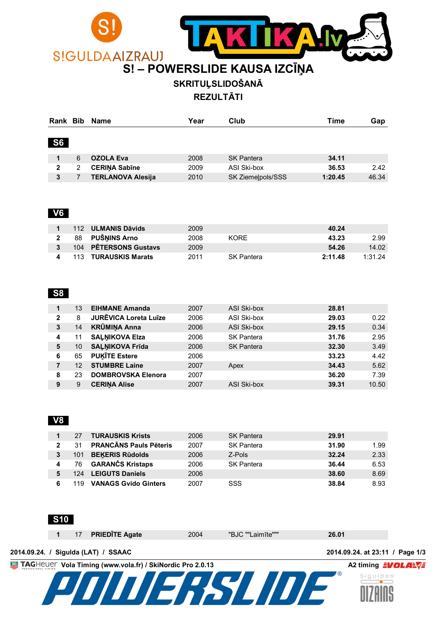

**SKRITUĻSLIDOŠANĀ**

**REZULTĀTI**

| Rank Bib     |   | <b>Name</b>              | Year | Club              | Time    | Gap   |
|--------------|---|--------------------------|------|-------------------|---------|-------|
| <b>S6</b>    |   |                          |      |                   |         |       |
|              |   |                          |      |                   |         |       |
|              | 6 | <b>OZOLA Eva</b>         | 2008 | <b>SK Pantera</b> | 34.11   |       |
| $\mathbf{2}$ | 2 | <b>CERINA Sabine</b>     | 2009 | ASI Ski-box       | 36.53   | 2.42  |
|              |   | <b>TERLANOVA Alesija</b> | 2010 | SK Ziemelpols/SSS | 1:20.45 | 46.34 |

#### **V6**

|    | 112 ULMANIS Dāvids    | 2009 |                   | 40.24              |
|----|-----------------------|------|-------------------|--------------------|
| 88 | PUŠŅINS Arno          | 2008 | <b>KORE</b>       | 2.99<br>43.23      |
|    | 104 PETERSONS Gustavs | 2009 |                   | 14.02<br>54.26     |
|    | 113 TURAUSKIS Marats  | 2011 | <b>SK Pantera</b> | 2:11.48<br>1:31.24 |

#### **S8**

| 1            | 13 | <b>EIHMANE Amanda</b>        | 2007 | ASI Ski-box       | 28.81 |       |
|--------------|----|------------------------------|------|-------------------|-------|-------|
| $\mathbf{2}$ | 8  | <b>JURĒVICA Loreta Luīze</b> | 2006 | ASI Ski-box       | 29.03 | 0.22  |
| 3            | 14 | <b>KRŪMIŅA Anna</b>          | 2006 | ASI Ski-box       | 29.15 | 0.34  |
| 4            | 11 | <b>SAĻŅIKOVA Elza</b>        | 2006 | <b>SK Pantera</b> | 31.76 | 2.95  |
| 5            | 10 | <b>SALNIKOVA Frida</b>       | 2006 | <b>SK Pantera</b> | 32.30 | 3.49  |
| 6            | 65 | <b>PUKITE Estere</b>         | 2006 |                   | 33.23 | 4.42  |
| 7            | 12 | <b>STUMBRE Laine</b>         | 2007 | Apex              | 34.43 | 5.62  |
| 8            | 23 | <b>DOMBROVSKA Elenora</b>    | 2007 |                   | 36.20 | 7.39  |
| 9            | 9  | <b>CERINA Alise</b>          | 2007 | ASI Ski-box       | 39.31 | 10.50 |

#### **V8**

|              | 27  | <b>TURAUSKIS Krists</b>       | 2006 | <b>SK Pantera</b> | 29.91 |      |
|--------------|-----|-------------------------------|------|-------------------|-------|------|
| $\mathbf{2}$ | 31  | <b>PRANCĀNS Pauls Pēteris</b> | 2007 | <b>SK Pantera</b> | 31.90 | 1.99 |
| 3            | 101 | <b>BEKERIS Rūdolds</b>        | 2006 | Z-Pols            | 32.24 | 2.33 |
|              | 76  | <b>GARANČS Kristaps</b>       | 2006 | <b>SK Pantera</b> | 36.44 | 6.53 |
|              |     | 124 LEIGUTS Daniels           | 2006 |                   | 38.60 | 8.69 |
|              | 119 | <b>VANAGS Gvido Ginters</b>   | 2007 | SSS               | 38.84 | 8.93 |



|  |  | 17 PRIEDITE Agate | 2004 | "BJC ""Laimīte""" | 26.01 |  |
|--|--|-------------------|------|-------------------|-------|--|
|--|--|-------------------|------|-------------------|-------|--|

**2014.09.24. / Sigulda (LAT) / SSAAC 2014.09.24. at 23:11 / Page 1/3**

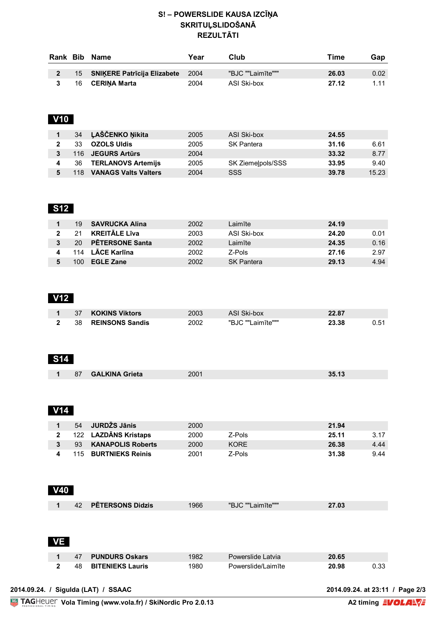#### **S! – POWERSLIDE KAUSA IZCĪŅA SKRITUĻSLIDOŠANĀ REZULTĀTI**

| Rank Bib |    | Name                           | Year | Club              | ™e    | Gap   |
|----------|----|--------------------------------|------|-------------------|-------|-------|
|          |    | 15 SNIKERE Patrīcija Elizabete | 2004 | "BJC ""Laimīte""" | 26.03 | 0.02  |
|          | 16 | <b>CERINA Marta</b>            | 2004 | ASI Ski-box       | 27.12 | 1 1 1 |

# **V10**

|     | 34 LAŠČENKO Nikita          | 2005 | ASI Ski-box       | 24.55 |       |
|-----|-----------------------------|------|-------------------|-------|-------|
| 33  | <b>OZOLS Uldis</b>          | 2005 | <b>SK Pantera</b> | 31.16 | 6.61  |
|     | 116 JEGURS Artūrs           | 2004 |                   | 33.32 | 8.77  |
| 36  | <b>TERLANOVS Artemijs</b>   | 2005 | SK Ziemelpols/SSS | 33.95 | 9.40  |
| 118 | <b>VANAGS Valts Valters</b> | 2004 | SSS               | 39.78 | 15.23 |

## **S12**

| 19  | SAVRUCKA Alina         | 2002 | Laimīte           | 24.19 |      |
|-----|------------------------|------|-------------------|-------|------|
| 21. | <b>KREITĀLE Līva</b>   | 2003 | ASI Ski-box       | 24.20 | 0.01 |
| 20  | <b>PETERSONE Santa</b> | 2002 | Laimīte           | 24.35 | 0.16 |
|     | 114 LĀCE Karlīna       | 2002 | Z-Pols            | 27.16 | 2.97 |
| 100 | <b>EGLE Zane</b>       | 2002 | <b>SK Pantera</b> | 29.13 | 4.94 |

## **V12**

| 37 | <b>KOKINS Viktors</b>  | 2003 | <b>ASI Ski-box</b> | 22.87 |      |
|----|------------------------|------|--------------------|-------|------|
| 38 | <b>REINSONS Sandis</b> | 2002 | "BJC ""Laimīte"""  | 23.38 | 0.51 |

## **S14**

| 87 | <b>GALKINA Grieta</b> | 2001 | 35.1. |
|----|-----------------------|------|-------|
|    |                       |      |       |

## **V14**

| 54  | JURDŽS Jānis             | 2000 |        | 21.94         |
|-----|--------------------------|------|--------|---------------|
| 122 | <b>LAZDĀNS Kristaps</b>  | 2000 | Z-Pols | 25.11<br>3.17 |
| 93  | <b>KANAPOLIS Roberts</b> | 2000 | KORF.  | 26.38<br>4.44 |
|     | 115 BURTNIEKS Reinis     | 2001 | Z-Pols | 31.38<br>9.44 |

## **V40**

| 42 | <b>PETERSONS Didzis</b> | 1966 | "BJC ""Laimīte""" | 27.03 |
|----|-------------------------|------|-------------------|-------|

### **VE**

| 47  | 7 PUNDURS Oskars        | 1982 | Powerslide Latvia  | 20.65 |      |
|-----|-------------------------|------|--------------------|-------|------|
| 48. | <b>BITENIEKS Lauris</b> | 1980 | Powerslide/Laimite | 20.98 | 0.33 |